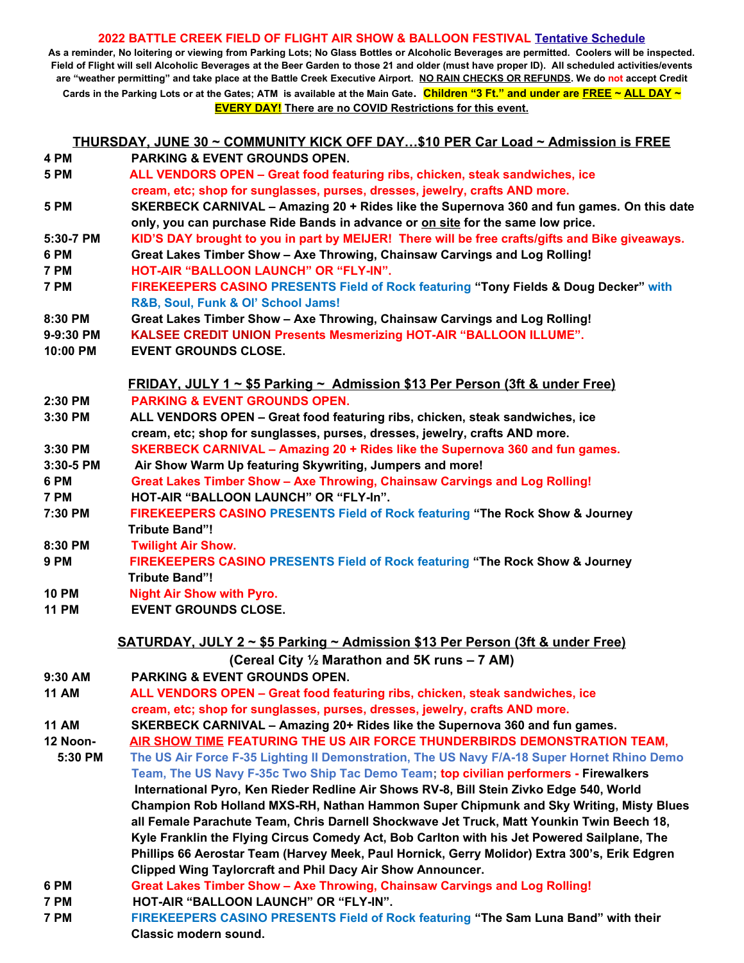## **2022 BATTLE CREEK FIELD OF FLIGHT AIR SHOW & BALLOON FESTIVAL Tentative Schedule**

**As a reminder, No loitering or viewing from Parking Lots; No Glass Bottles or Alcoholic Beverages are permitted. Coolers will be inspected. Field of Flight will sell Alcoholic Beverages at the Beer Garden to those 21 and older (must have proper ID). All scheduled activities/events are "weather permitting" and take place at the Battle Creek Executive Airport. NO RAIN CHECKS OR REFUNDS. We do not accept Credit Cards in the Parking Lots or at the Gates; ATM is available at the Main Gate. Children "3 Ft." and under are FREE ~ ALL DAY ~ EVERY DAY! There are no COVID Restrictions for this event.** 

**THURSDAY, JUNE 30 ~ COMMUNITY KICK OFF DAY…\$10 PER Car Load ~ Admission is FREE 4 PM PARKING & EVENT GROUNDS OPEN.**

- **5 PM ALL VENDORS OPEN Great food featuring ribs, chicken, steak sandwiches, ice cream, etc; shop for sunglasses, purses, dresses, jewelry, crafts AND more.**
- **5 PM SKERBECK CARNIVAL Amazing 20 + Rides like the Supernova 360 and fun games. On this date only, you can purchase Ride Bands in advance or on site for the same low price.**
- **5:30-7 PM KID'S DAY brought to you in part by MEIJER! There will be free crafts/gifts and Bike giveaways.**
- **6 PM Great Lakes Timber Show Axe Throwing, Chainsaw Carvings and Log Rolling! 7 PM HOT-AIR "BALLOON LAUNCH" OR "FLY-IN".**
- **7 PM FIREKEEPERS CASINO PRESENTS Field of Rock featuring "Tony Fields & Doug Decker" with R&B, Soul, Funk & Ol' School Jams!**
- **8:30 PM Great Lakes Timber Show Axe Throwing, Chainsaw Carvings and Log Rolling!**
- **9-9:30 PM KALSEE CREDIT UNION Presents Mesmerizing HOT-AIR "BALLOON ILLUME".**
- **10:00 PM EVENT GROUNDS CLOSE.**

|         | <u> FRIDAY, JULY 1 ~ \$5 Parking ~ Admission \$13 Per Person (3ft &amp; under Free)</u> |
|---------|-----------------------------------------------------------------------------------------|
| 2:30 PM | <b>PARKING &amp; EVENT GROUNDS OPEN.</b>                                                |
|         |                                                                                         |

- **3:30 PM ALL VENDORS OPEN Great food featuring ribs, chicken, steak sandwiches, ice cream, etc; shop for sunglasses, purses, dresses, jewelry, crafts AND more.**
- **3:30 PM SKERBECK CARNIVAL Amazing 20 + Rides like the Supernova 360 and fun games.**
- **3:30-5 PM Air Show Warm Up featuring Skywriting, Jumpers and more!**
- **6 PM Great Lakes Timber Show Axe Throwing, Chainsaw Carvings and Log Rolling! 7 PM HOT-AIR "BALLOON LAUNCH" OR "FLY-In".**
- **7:30 PM FIREKEEPERS CASINO PRESENTS Field of Rock featuring "The Rock Show & Journey Tribute Band"!**
- **8:30 PM Twilight Air Show.**
- **9 PM FIREKEEPERS CASINO PRESENTS Field of Rock featuring "The Rock Show & Journey Tribute Band"!**
- **10 PM Night Air Show with Pyro.**
- **11 PM EVENT GROUNDS CLOSE.**

**SATURDAY, JULY 2 ~ \$5 Parking ~ Admission \$13 Per Person (3ft & under Free)**

**(Cereal City ½ Marathon and 5K runs – 7 AM)**

- **9:30 AM PARKING & EVENT GROUNDS OPEN.**
- **11 AM ALL VENDORS OPEN Great food featuring ribs, chicken, steak sandwiches, ice cream, etc; shop for sunglasses, purses, dresses, jewelry, crafts AND more.**
- **11 AM SKERBECK CARNIVAL Amazing 20+ Rides like the Supernova 360 and fun games.**
- **12 Noon- AIR SHOW TIME FEATURING THE US AIR FORCE THUNDERBIRDS DEMONSTRATION TEAM,**
- **5:30 PM The US Air Force F-35 Lighting II Demonstration, The US Navy F/A-18 Super Hornet Rhino Demo Team, The US Navy F-35c Two Ship Tac Demo Team; top civilian performers - Firewalkers International Pyro, Ken Rieder Redline Air Shows RV-8, Bill Stein Zivko Edge 540, World Champion Rob Holland MXS-RH, Nathan Hammon Super Chipmunk and Sky Writing, Misty Blues all Female Parachute Team, Chris Darnell Shockwave Jet Truck, Matt Younkin Twin Beech 18, Kyle Franklin the Flying Circus Comedy Act, Bob Carlton with his Jet Powered Sailplane, The Phillips 66 Aerostar Team (Harvey Meek, Paul Hornick, Gerry Molidor) Extra 300's, Erik Edgren Clipped Wing Taylorcraft and Phil Dacy Air Show Announcer.**
- **6 PM Great Lakes Timber Show Axe Throwing, Chainsaw Carvings and Log Rolling!**
- **7 PM HOT-AIR "BALLOON LAUNCH" OR "FLY-IN".**
- **7 PM FIREKEEPERS CASINO PRESENTS Field of Rock featuring "The Sam Luna Band" with their Classic modern sound.**